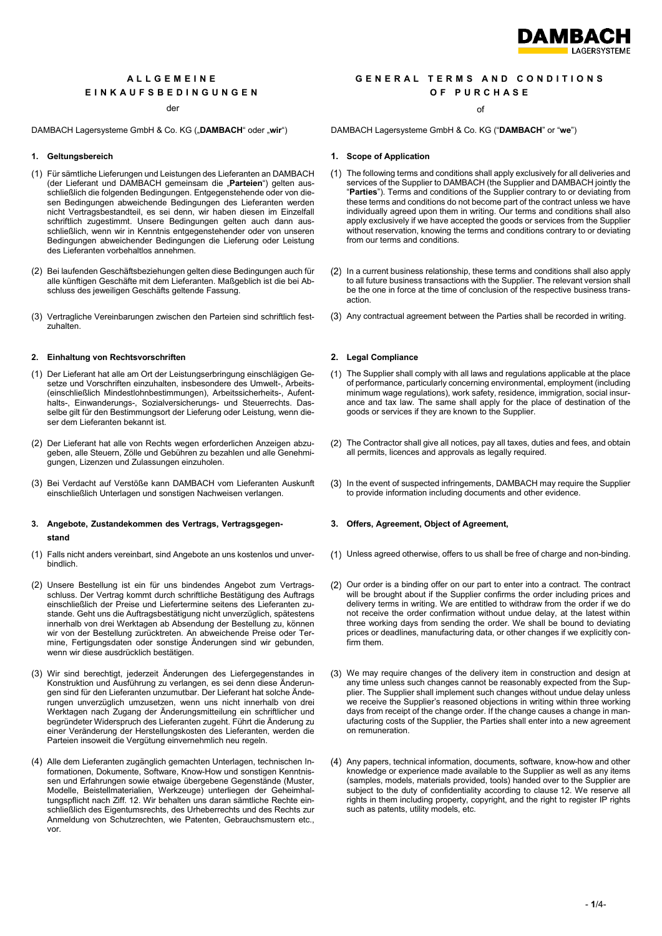

# **ALLGEMEINE EINKAUFSBEDINGUNGEN**

### der der andere of the state of the state of the state of the state of the state of the state of the state of the state of the state of the state of the state of the state of the state of the state of the state of the state

DAMBACH Lagersysteme GmbH & Co. KG ("**DAMBACH**" oder "**wir**") DAMBACH Lagersysteme GmbH & Co. KG ("**DAMBACH**" or "**we**")

- (1) Für sämtliche Lieferungen und Leistungen des Lieferanten an DAMBACH (der Lieferant und DAMBACH gemeinsam die "**Parteien**") gelten ausschließlich die folgenden Bedingungen. Entgegenstehende oder von diesen Bedingungen abweichende Bedingungen des Lieferanten werden nicht Vertragsbestandteil, es sei denn, wir haben diesen im Einzelfall schriftlich zugestimmt. Unsere Bedingungen gelten auch dann ausschließlich, wenn wir in Kenntnis entgegenstehender oder von unseren Bedingungen abweichender Bedingungen die Lieferung oder Leistung des Lieferanten vorbehaltlos annehmen.
- (2) Bei laufenden Geschäftsbeziehungen gelten diese Bedingungen auch für alle künftigen Geschäfte mit dem Lieferanten. Maßgeblich ist die bei Abschluss des jeweiligen Geschäfts geltende Fassung.
- (3) Vertragliche Vereinbarungen zwischen den Parteien sind schriftlich festzuhalten.

# **2. Einhaltung von Rechtsvorschriften 2. Legal Compliance**

- (1) Der Lieferant hat alle am Ort der Leistungserbringung einschlägigen Gesetze und Vorschriften einzuhalten, insbesondere des Umwelt-, Arbeits- (einschließlich Mindestlohnbestimmungen), Arbeitssicherheits-, Aufenthalts-, Einwanderungs-, Sozialversicherungs- und Steuerrechts. Dasselbe gilt für den Bestimmungsort der Lieferung oder Leistung, wenn dieser dem Lieferanten bekannt ist.
- (2) Der Lieferant hat alle von Rechts wegen erforderlichen Anzeigen abzugeben, alle Steuern, Zölle und Gebühren zu bezahlen und alle Genehmigungen, Lizenzen und Zulassungen einzuholen.
- (3) Bei Verdacht auf Verstöße kann DAMBACH vom Lieferanten Auskunft einschließlich Unterlagen und sonstigen Nachweisen verlangen.

# **3. Angebote, Zustandekommen des Vertrags, Vertragsgegenstand**

- (1) Falls nicht anders vereinbart, sind Angebote an uns kostenlos und unverbindlich.
- (2) Unsere Bestellung ist ein für uns bindendes Angebot zum Vertragsschluss. Der Vertrag kommt durch schriftliche Bestätigung des Auftrags einschließlich der Preise und Liefertermine seitens des Lieferanten zustande. Geht uns die Auftragsbestätigung nicht unverzüglich, spätestens innerhalb von drei Werktagen ab Absendung der Bestellung zu, können wir von der Bestellung zurücktreten. An abweichende Preise oder Termine, Fertigungsdaten oder sonstige Änderungen sind wir gebunden, wenn wir diese ausdrücklich bestätigen.
- (3) Wir sind berechtigt, jederzeit Änderungen des Liefergegenstandes in Konstruktion und Ausführung zu verlangen, es sei denn diese Änderungen sind für den Lieferanten unzumutbar. Der Lieferant hat solche Änderungen unverzüglich umzusetzen, wenn uns nicht innerhalb von drei Werktagen nach Zugang der Änderungsmitteilung ein schriftlicher und begründeter Widerspruch des Lieferanten zugeht. Führt die Änderung zu einer Veränderung der Herstellungskosten des Lieferanten, werden die Parteien insoweit die Vergütung einvernehmlich neu regeln.
- (4) Alle dem Lieferanten zugänglich gemachten Unterlagen, technischen Informationen, Dokumente, Software, Know-How und sonstigen Kenntnissen und Erfahrungen sowie etwaige übergebene Gegenstände (Muster, Modelle, Beistellmaterialien, Werkzeuge) unterliegen der Geheimhaltungspflicht nach Ziff. [12.](#page-3-0) Wir behalten uns daran sämtliche Rechte einschließlich des Eigentumsrechts, des Urheberrechts und des Rechts zur Anmeldung von Schutzrechten, wie Patenten, Gebrauchsmustern etc., vor.

# **GENERAL TERMS AND CONDITIONS OF PURCHASE**

# **1. Geltungsbereich 1. Scope of Application**

- The following terms and conditions shall apply exclusively for all deliveries and services of the Supplier to DAMBACH (the Supplier and DAMBACH jointly the "**Parties**"). Terms and conditions of the Supplier contrary to or deviating from these terms and conditions do not become part of the contract unless we have individually agreed upon them in writing. Our terms and conditions shall also apply exclusively if we have accepted the goods or services from the Supplier without reservation, knowing the terms and conditions contrary to or deviating from our terms and conditions.
- (2) In a current business relationship, these terms and conditions shall also apply to all future business transactions with the Supplier. The relevant version shall be the one in force at the time of conclusion of the respective business transaction.
- (3) Any contractual agreement between the Parties shall be recorded in writing.

- The Supplier shall comply with all laws and regulations applicable at the place of performance, particularly concerning environmental, employment (including minimum wage regulations), work safety, residence, immigration, social insurance and tax law. The same shall apply for the place of destination of the goods or services if they are known to the Supplier.
- The Contractor shall give all notices, pay all taxes, duties and fees, and obtain all permits, licences and approvals as legally required.
- (3) In the event of suspected infringements, DAMBACH may require the Supplier to provide information including documents and other evidence.

# **3. Offers, Agreement, Object of Agreement,**

- Unless agreed otherwise, offers to us shall be free of charge and non-binding.
- (2) Our order is a binding offer on our part to enter into a contract. The contract will be brought about if the Supplier confirms the order including prices and delivery terms in writing. We are entitled to withdraw from the order if we do not receive the order confirmation without undue delay, at the latest within three working days from sending the order. We shall be bound to deviating prices or deadlines, manufacturing data, or other changes if we explicitly confirm them.
- We may require changes of the delivery item in construction and design at any time unless such changes cannot be reasonably expected from the Supplier. The Supplier shall implement such changes without undue delay unless we receive the Supplier's reasoned objections in writing within three working days from receipt of the change order. If the change causes a change in manufacturing costs of the Supplier, the Parties shall enter into a new agreement on remuneration.
- Any papers, technical information, documents, software, know-how and other knowledge or experience made available to the Supplier as well as any items (samples, models, materials provided, tools) handed over to the Supplier are subject to the duty of confidentiality according to clause [12.](#page-3-1) We reserve all rights in them including property, copyright, and the right to register IP rights such as patents, utility models, etc.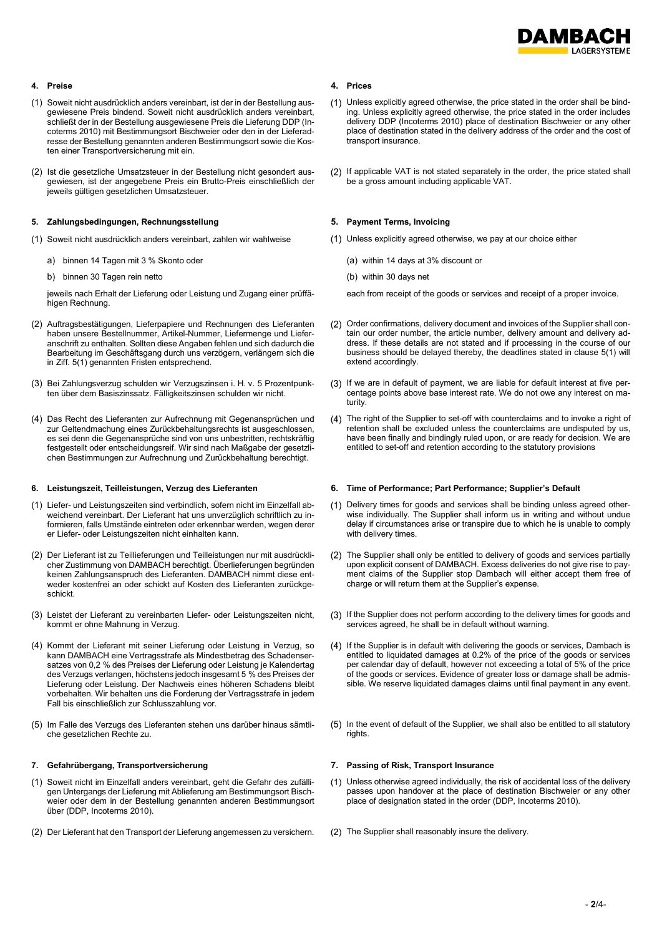

# **4. Preise 4. Prices**

- (1) Soweit nicht ausdrücklich anders vereinbart, ist der in der Bestellung ausgewiesene Preis bindend. Soweit nicht ausdrücklich anders vereinbart, schließt der in der Bestellung ausgewiesene Preis die Lieferung DDP (Incoterms 2010) mit Bestimmungsort Bischweier oder den in der Lieferadresse der Bestellung genannten anderen Bestimmungsort sowie die Kosten einer Transportversicherung mit ein.
- (2) Ist die gesetzliche Umsatzsteuer in der Bestellung nicht gesondert ausgewiesen, ist der angegebene Preis ein Brutto-Preis einschließlich der jeweils gültigen gesetzlichen Umsatzsteuer.

### <span id="page-1-0"></span>**5. Zahlungsbedingungen, Rechnungsstellung 5. Payment Terms, Invoicing**

- - a) binnen 14 Tagen mit 3 % Skonto oder (a) within 14 days at 3% discount or
	- b) binnen 30 Tagen rein netto (b) within 30 days net

jeweils nach Erhalt der Lieferung oder Leistung und Zugang einer prüffähigen Rechnung.

- (2) Auftragsbestätigungen, Lieferpapiere und Rechnungen des Lieferanten haben unsere Bestellnummer, Artikel-Nummer, Liefermenge und Lieferanschrift zu enthalten. Sollten diese Angaben fehlen und sich dadurch die Bearbeitung im Geschäftsgang durch uns verzögern, verlängern sich die in Ziff. [5\(1\)](#page-1-0) genannten Fristen entsprechend.
- (3) Bei Zahlungsverzug schulden wir Verzugszinsen i. H. v. 5 Prozentpunkten über dem Basiszinssatz. Fälligkeitszinsen schulden wir nicht.
- (4) Das Recht des Lieferanten zur Aufrechnung mit Gegenansprüchen und zur Geltendmachung eines Zurückbehaltungsrechts ist ausgeschlossen, es sei denn die Gegenansprüche sind von uns unbestritten, rechtskräftig festgestellt oder entscheidungsreif. Wir sind nach Maßgabe der gesetzlichen Bestimmungen zur Aufrechnung und Zurückbehaltung berechtigt.

- (1) Liefer- und Leistungszeiten sind verbindlich, sofern nicht im Einzelfall abweichend vereinbart. Der Lieferant hat uns unverzüglich schriftlich zu informieren, falls Umstände eintreten oder erkennbar werden, wegen derer er Liefer- oder Leistungszeiten nicht einhalten kann.
- (2) Der Lieferant ist zu Teillieferungen und Teilleistungen nur mit ausdrücklicher Zustimmung von DAMBACH berechtigt. Überlieferungen begründen keinen Zahlungsanspruch des Lieferanten. DAMBACH nimmt diese entweder kostenfrei an oder schickt auf Kosten des Lieferanten zurückgeschickt.
- (3) Leistet der Lieferant zu vereinbarten Liefer- oder Leistungszeiten nicht, kommt er ohne Mahnung in Verzug.
- (4) Kommt der Lieferant mit seiner Lieferung oder Leistung in Verzug, so kann DAMBACH eine Vertragsstrafe als Mindestbetrag des Schadensersatzes von 0,2 % des Preises der Lieferung oder Leistung je Kalendertag des Verzugs verlangen, höchstens jedoch insgesamt 5 % des Preises der Lieferung oder Leistung. Der Nachweis eines höheren Schadens bleibt vorbehalten. Wir behalten uns die Forderung der Vertragsstrafe in jedem Fall bis einschließlich zur Schlusszahlung vor.
- (5) Im Falle des Verzugs des Lieferanten stehen uns darüber hinaus sämtliche gesetzlichen Rechte zu.

# **7. Gefahrübergang, Transportversicherung 7. Passing of Risk, Transport Insurance**

- (1) Soweit nicht im Einzelfall anders vereinbart, geht die Gefahr des zufälligen Untergangs der Lieferung mit Ablieferung am Bestimmungsort Bischweier oder dem in der Bestellung genannten anderen Bestimmungsort über (DDP, Incoterms 2010).
- (2) Der Lieferant hat den Transport der Lieferung angemessen zu versichern. (2) The Supplier shall reasonably insure the delivery.

- Unless explicitly agreed otherwise, the price stated in the order shall be binding. Unless explicitly agreed otherwise, the price stated in the order includes delivery DDP (Incoterms 2010) place of destination Bischweier or any other place of destination stated in the delivery address of the order and the cost of transport insurance.
- <span id="page-1-1"></span>(2) If applicable VAT is not stated separately in the order, the price stated shall be a gross amount including applicable VAT.

- (1) Soweit nicht ausdrücklich anders vereinbart, zahlen wir wahlweise (1) Unless explicitly agreed otherwise, we pay at our choice either
	-
	-

each from receipt of the goods or services and receipt of a proper invoice.

- (2) Order confirmations, delivery document and invoices of the Supplier shall contain our order number, the article number, delivery amount and delivery address. If these details are not stated and if processing in the course of our business should be delayed thereby, the deadlines stated in claus[e 5\(1\)](#page-1-1) will extend accordingly.
- (3) If we are in default of payment, we are liable for default interest at five percentage points above base interest rate. We do not owe any interest on maturity.
- The right of the Supplier to set-off with counterclaims and to invoke a right of retention shall be excluded unless the counterclaims are undisputed by us, have been finally and bindingly ruled upon, or are ready for decision. We are entitled to set-off and retention according to the statutory provisions

### **6. Leistungszeit, Teilleistungen, Verzug des Lieferanten 6. Time of Performance; Part Performance; Supplier's Default**

- Delivery times for goods and services shall be binding unless agreed otherwise individually. The Supplier shall inform us in writing and without undue delay if circumstances arise or transpire due to which he is unable to comply with delivery times.
- The Supplier shall only be entitled to delivery of goods and services partially upon explicit consent of DAMBACH. Excess deliveries do not give rise to payment claims of the Supplier stop Dambach will either accept them free of charge or will return them at the Supplier's expense.
- (3) If the Supplier does not perform according to the delivery times for goods and services agreed, he shall be in default without warning.
- (4) If the Supplier is in default with delivering the goods or services, Dambach is entitled to liquidated damages at 0.2% of the price of the goods or services per calendar day of default, however not exceeding a total of 5% of the price of the goods or services. Evidence of greater loss or damage shall be admissible. We reserve liquidated damages claims until final payment in any event.
- (5) In the event of default of the Supplier, we shall also be entitled to all statutory rights.

- Unless otherwise agreed individually, the risk of accidental loss of the delivery passes upon handover at the place of destination Bischweier or any other place of designation stated in the order (DDP, Incoterms 2010).
-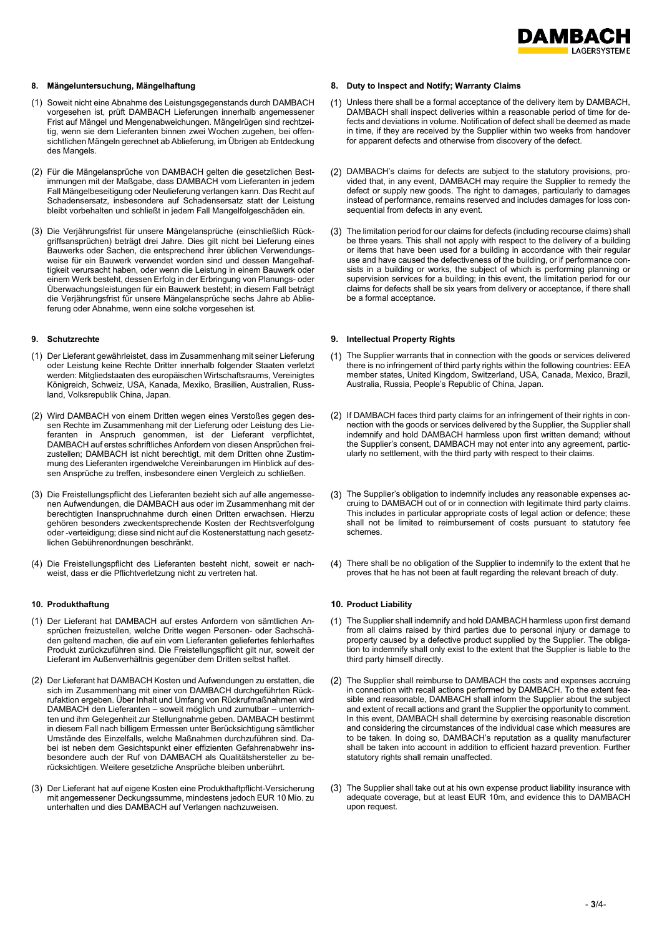

- (1) Soweit nicht eine Abnahme des Leistungsgegenstands durch DAMBACH vorgesehen ist, prüft DAMBACH Lieferungen innerhalb angemessener Frist auf Mängel und Mengenabweichungen. Mängelrügen sind rechtzeitig, wenn sie dem Lieferanten binnen zwei Wochen zugehen, bei offensichtlichen Mängeln gerechnet ab Ablieferung, im Übrigen ab Entdeckung des Mangels.
- (2) Für die Mängelansprüche von DAMBACH gelten die gesetzlichen Bestimmungen mit der Maßgabe, dass DAMBACH vom Lieferanten in jedem Fall Mängelbeseitigung oder Neulieferung verlangen kann. Das Recht auf Schadensersatz, insbesondere auf Schadensersatz statt der Leistung bleibt vorbehalten und schließt in jedem Fall Mangelfolgeschäden ein.
- (3) Die Verjährungsfrist für unsere Mängelansprüche (einschließlich Rückgriffsansprüchen) beträgt drei Jahre. Dies gilt nicht bei Lieferung eines Bauwerks oder Sachen, die entsprechend ihrer üblichen Verwendungsweise für ein Bauwerk verwendet worden sind und dessen Mangelhaftigkeit verursacht haben, oder wenn die Leistung in einem Bauwerk oder einem Werk besteht, dessen Erfolg in der Erbringung von Planungs- oder Überwachungsleistungen für ein Bauwerk besteht; in diesem Fall beträgt die Verjährungsfrist für unsere Mängelansprüche sechs Jahre ab Ablieferung oder Abnahme, wenn eine solche vorgesehen ist.

- (1) Der Lieferant gewährleistet, dass im Zusammenhang mit seiner Lieferung oder Leistung keine Rechte Dritter innerhalb folgender Staaten verletzt werden: Mitgliedstaaten des europäischen Wirtschaftsraums, Vereinigtes Königreich, Schweiz, USA, Kanada, Mexiko, Brasilien, Australien, Russland, Volksrepublik China, Japan.
- (2) Wird DAMBACH von einem Dritten wegen eines Verstoßes gegen dessen Rechte im Zusammenhang mit der Lieferung oder Leistung des Lieferanten in Anspruch genommen, ist der Lieferant verpflichtet, DAMBACH auf erstes schriftliches Anfordern von diesen Ansprüchen freizustellen; DAMBACH ist nicht berechtigt, mit dem Dritten ohne Zustimmung des Lieferanten irgendwelche Vereinbarungen im Hinblick auf dessen Ansprüche zu treffen, insbesondere einen Vergleich zu schließen.
- (3) Die Freistellungspflicht des Lieferanten bezieht sich auf alle angemessenen Aufwendungen, die DAMBACH aus oder im Zusammenhang mit der berechtigten Inanspruchnahme durch einen Dritten erwachsen. Hierzu gehören besonders zweckentsprechende Kosten der Rechtsverfolgung oder -verteidigung; diese sind nicht auf die Kostenerstattung nach gesetzlichen Gebührenordnungen beschränkt.
- (4) Die Freistellungspflicht des Lieferanten besteht nicht, soweit er nachweist, dass er die Pflichtverletzung nicht zu vertreten hat.

- (1) Der Lieferant hat DAMBACH auf erstes Anfordern von sämtlichen Ansprüchen freizustellen, welche Dritte wegen Personen- oder Sachschäden geltend machen, die auf ein vom Lieferanten geliefertes fehlerhaftes Produkt zurückzuführen sind. Die Freistellungspflicht gilt nur, soweit der Lieferant im Außenverhältnis gegenüber dem Dritten selbst haftet.
- (2) Der Lieferant hat DAMBACH Kosten und Aufwendungen zu erstatten, die sich im Zusammenhang mit einer von DAMBACH durchgeführten Rückrufaktion ergeben. Über Inhalt und Umfang von Rückrufmaßnahmen wird DAMBACH den Lieferanten – soweit möglich und zumutbar – unterrichten und ihm Gelegenheit zur Stellungnahme geben. DAMBACH bestimmt in diesem Fall nach billigem Ermessen unter Berücksichtigung sämtlicher Umstände des Einzelfalls, welche Maßnahmen durchzuführen sind. Dabei ist neben dem Gesichtspunkt einer effizienten Gefahrenabwehr insbesondere auch der Ruf von DAMBACH als Qualitätshersteller zu berücksichtigen. Weitere gesetzliche Ansprüche bleiben unberührt.
- (3) Der Lieferant hat auf eigene Kosten eine Produkthaftpflicht-Versicherung mit angemessener Deckungssumme, mindestens jedoch EUR 10 Mio. zu unterhalten und dies DAMBACH auf Verlangen nachzuweisen.

### **8. Mängeluntersuchung, Mängelhaftung 8. Duty to Inspect and Notify; Warranty Claims**

- Unless there shall be a formal acceptance of the delivery item by DAMBACH, DAMBACH shall inspect deliveries within a reasonable period of time for defects and deviations in volume. Notification of defect shall be deemed as made in time, if they are received by the Supplier within two weeks from handover for apparent defects and otherwise from discovery of the defect.
- DAMBACH's claims for defects are subject to the statutory provisions, provided that, in any event, DAMBACH may require the Supplier to remedy the defect or supply new goods. The right to damages, particularly to damages instead of performance, remains reserved and includes damages for loss consequential from defects in any event.
- The limitation period for our claims for defects (including recourse claims) shall be three years. This shall not apply with respect to the delivery of a building or items that have been used for a building in accordance with their regular use and have caused the defectiveness of the building, or if performance consists in a building or works, the subject of which is performing planning or supervision services for a building; in this event, the limitation period for our claims for defects shall be six years from delivery or acceptance, if there shall be a formal acceptance.

### **9. Schutzrechte 9. Intellectual Property Rights**

- (1) The Supplier warrants that in connection with the goods or services delivered there is no infringement of third party rights within the following countries: EEA member states, United Kingdom, Switzerland, USA, Canada, Mexico, Brazil, Australia, Russia, People's Republic of China, Japan.
- (2) If DAMBACH faces third party claims for an infringement of their rights in connection with the goods or services delivered by the Supplier, the Supplier shall indemnify and hold DAMBACH harmless upon first written demand; without the Supplier's consent, DAMBACH may not enter into any agreement, particularly no settlement, with the third party with respect to their claims.
- The Supplier's obligation to indemnify includes any reasonable expenses accruing to DAMBACH out of or in connection with legitimate third party claims. This includes in particular appropriate costs of legal action or defence; these shall not be limited to reimbursement of costs pursuant to statutory fee schemes.
- There shall be no obligation of the Supplier to indemnify to the extent that he proves that he has not been at fault regarding the relevant breach of duty.

# **10. Produkthaftung 10. Product Liability**

- (1) The Supplier shall indemnify and hold DAMBACH harmless upon first demand from all claims raised by third parties due to personal injury or damage to property caused by a defective product supplied by the Supplier. The obligation to indemnify shall only exist to the extent that the Supplier is liable to the third party himself directly.
- (2) The Supplier shall reimburse to DAMBACH the costs and expenses accruing in connection with recall actions performed by DAMBACH. To the extent feasible and reasonable, DAMBACH shall inform the Supplier about the subject and extent of recall actions and grant the Supplier the opportunity to comment. In this event, DAMBACH shall determine by exercising reasonable discretion and considering the circumstances of the individual case which measures are to be taken. In doing so, DAMBACH's reputation as a quality manufacturer shall be taken into account in addition to efficient hazard prevention. Further statutory rights shall remain unaffected.
- The Supplier shall take out at his own expense product liability insurance with adequate coverage, but at least EUR 10m, and evidence this to DAMBACH upon request.